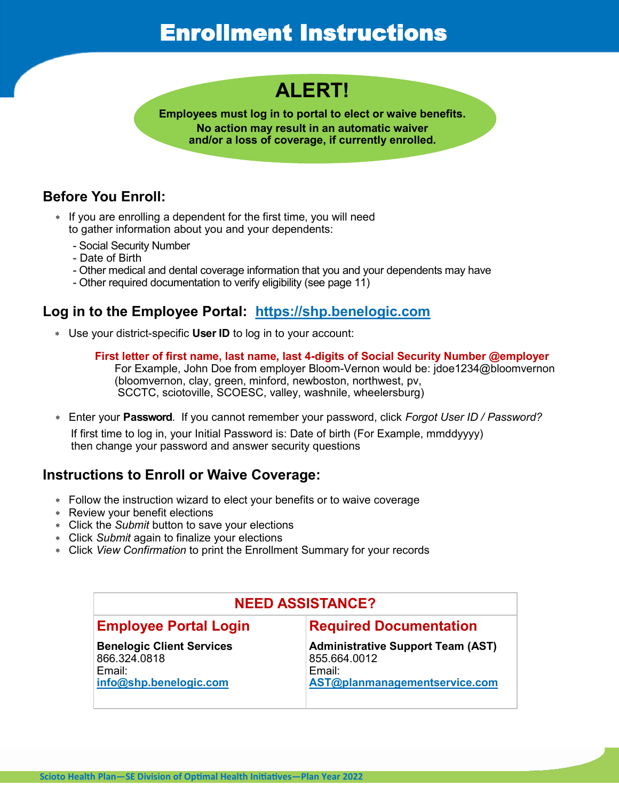## Enrollment Instructions

### **ALERT!**

**Employees must log in to portal to elect or waive benefits. No action may result in an automatic waiver and/or a loss of coverage, if currently enrolled.**

#### **Before You Enroll:**

- \* If you are enrolling a dependent for the first time, you will need to gather information about you and your dependents:
	- Social Security Number
	- Date of Birth
	- Other medical and dental coverage information that you and your dependents may have
	- Other required documentation to verify eligibility (see page 11)

#### **Log in to the Employee Portal: <https://shp.benelogic.com>**

- Use your district-specific **User ID** to log in to your account:
	- **First letter of first name, last name, last 4-digits of Social Security Number @employer** For Example, John Doe from employer Bloom-Vernon would be: jdoe1234@bloomvernon (bloomvernon, clay, green, minford, newboston, northwest, pv,

SCCTC, sciotoville, SCOESC, valley, washnile, wheelersburg)

Enter your **Password**. If you cannot remember your password, click *Forgot User ID / Password?*

 If first time to log in, your Initial Password is: Date of birth (For Example, mmddyyyy) then change your password and answer security questions

#### **Instructions to Enroll or Waive Coverage:**

- Follow the instruction wizard to elect your benefits or to waive coverage
- Review your benefit elections
- Click the *Submit* button to save your elections
- Click *Submit* again to finalize your elections
- Click *View Confirmation* to print the Enrollment Summary for your records

| <b>NEED ASSISTANCE?</b>                                                              |                                                                                                        |
|--------------------------------------------------------------------------------------|--------------------------------------------------------------------------------------------------------|
| <b>Employee Portal Login</b>                                                         | <b>Required Documentation</b>                                                                          |
| <b>Benelogic Client Services</b><br>866.324.0818<br>Fmail:<br>info@shp.benelogic.com | <b>Administrative Support Team (AST)</b><br>855.664.0012<br>$F$ mail:<br>AST@planmanagementservice.com |